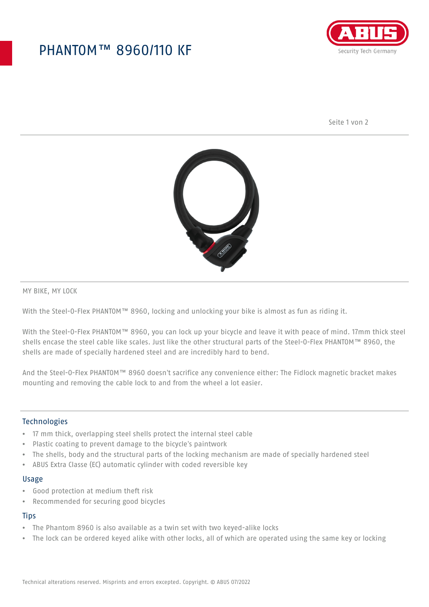## PHANTOM™ 8960/110 KF



Seite 1 von 2



MY BIKE, MY LOCK

With the Steel-O-Flex PHANTOM™ 8960, locking and unlocking your bike is almost as fun as riding it.

With the Steel-O-Flex PHANTOM™ 8960, you can lock up your bicycle and leave it with peace of mind. 17mm thick steel shells encase the steel cable like scales. Just like the other structural parts of the Steel-O-Flex PHANTOM™ 8960, the shells are made of specially hardened steel and are incredibly hard to bend.

And the Steel-O-Flex PHANTOM™ 8960 doesn't sacrifice any convenience either: The Fidlock magnetic bracket makes mounting and removing the cable lock to and from the wheel a lot easier.

### Technologies

- 17 mm thick, overlapping steel shells protect the internal steel cable
- Plastic coating to prevent damage to the bicycle's paintwork
- The shells, body and the structural parts of the locking mechanism are made of specially hardened steel
- ABUS Extra Classe (EC) automatic cylinder with coded reversible key

#### Usage

- Good protection at medium theft risk
- Recommended for securing good bicycles

### **Tips**

- The Phantom 8960 is also available as a twin set with two keyed-alike locks
- The lock can be ordered keyed alike with other locks, all of which are operated using the same key or locking